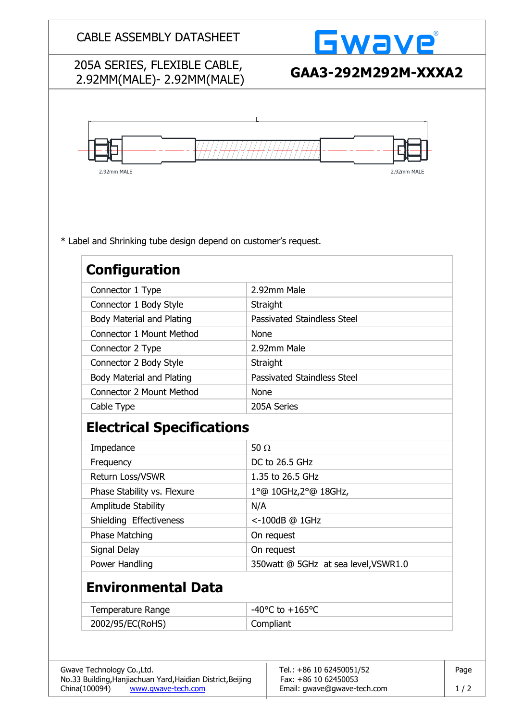| 205A SERIES, FLEXIBLE CABLE,<br>2.92MM(MALE)-2.92MM(MALE)<br>2.92mm MALE<br>2.92mm MALE<br>* Label and Shrinking tube design depend on customer's request.<br><b>Configuration</b><br>2.92mm Male<br>Connector 1 Type<br>Connector 1 Body Style<br>Straight<br>Passivated Staindless Steel<br><b>Body Material and Plating</b><br><b>Connector 1 Mount Method</b><br><b>None</b><br>2.92mm Male<br>Connector 2 Type<br>Connector 2 Body Style<br>Straight<br>Passivated Staindless Steel<br><b>Body Material and Plating</b><br><b>Connector 2 Mount Method</b><br><b>None</b><br>Cable Type<br>205A Series<br><b>Electrical Specifications</b><br>Impedance<br>50 $\Omega$<br>Frequency<br>DC to 26.5 GHz<br>Return Loss/VSWR<br>1.35 to 26.5 GHz<br>Phase Stability vs. Flexure<br>1°@ 10GHz, 2°@ 18GHz,<br>Amplitude Stability<br>N/A<br>Shielding Effectiveness<br><-100dB @ 1GHz<br><b>Phase Matching</b><br>On request<br>Signal Delay<br>On request<br>Power Handling<br>350watt @ 5GHz at sea level, VSWR1.0<br><b>Environmental Data</b><br>-40°C to $+165$ °C<br>Temperature Range<br>2002/95/EC(RoHS)<br>Compliant<br>Tel.: +86 10 62450051/52<br>No.33 Building, Hanjiachuan Yard, Haidian District, Beijing<br>Fax: +86 10 62450053 |                            |  | <b>Gwave</b>        |  |  |
|--------------------------------------------------------------------------------------------------------------------------------------------------------------------------------------------------------------------------------------------------------------------------------------------------------------------------------------------------------------------------------------------------------------------------------------------------------------------------------------------------------------------------------------------------------------------------------------------------------------------------------------------------------------------------------------------------------------------------------------------------------------------------------------------------------------------------------------------------------------------------------------------------------------------------------------------------------------------------------------------------------------------------------------------------------------------------------------------------------------------------------------------------------------------------------------------------------------------------------------------------|----------------------------|--|---------------------|--|--|
|                                                                                                                                                                                                                                                                                                                                                                                                                                                                                                                                                                                                                                                                                                                                                                                                                                                                                                                                                                                                                                                                                                                                                                                                                                                  |                            |  | GAA3-292M292M-XXXA2 |  |  |
|                                                                                                                                                                                                                                                                                                                                                                                                                                                                                                                                                                                                                                                                                                                                                                                                                                                                                                                                                                                                                                                                                                                                                                                                                                                  |                            |  |                     |  |  |
|                                                                                                                                                                                                                                                                                                                                                                                                                                                                                                                                                                                                                                                                                                                                                                                                                                                                                                                                                                                                                                                                                                                                                                                                                                                  |                            |  |                     |  |  |
|                                                                                                                                                                                                                                                                                                                                                                                                                                                                                                                                                                                                                                                                                                                                                                                                                                                                                                                                                                                                                                                                                                                                                                                                                                                  |                            |  |                     |  |  |
|                                                                                                                                                                                                                                                                                                                                                                                                                                                                                                                                                                                                                                                                                                                                                                                                                                                                                                                                                                                                                                                                                                                                                                                                                                                  |                            |  |                     |  |  |
|                                                                                                                                                                                                                                                                                                                                                                                                                                                                                                                                                                                                                                                                                                                                                                                                                                                                                                                                                                                                                                                                                                                                                                                                                                                  |                            |  |                     |  |  |
|                                                                                                                                                                                                                                                                                                                                                                                                                                                                                                                                                                                                                                                                                                                                                                                                                                                                                                                                                                                                                                                                                                                                                                                                                                                  |                            |  |                     |  |  |
|                                                                                                                                                                                                                                                                                                                                                                                                                                                                                                                                                                                                                                                                                                                                                                                                                                                                                                                                                                                                                                                                                                                                                                                                                                                  |                            |  |                     |  |  |
|                                                                                                                                                                                                                                                                                                                                                                                                                                                                                                                                                                                                                                                                                                                                                                                                                                                                                                                                                                                                                                                                                                                                                                                                                                                  |                            |  |                     |  |  |
|                                                                                                                                                                                                                                                                                                                                                                                                                                                                                                                                                                                                                                                                                                                                                                                                                                                                                                                                                                                                                                                                                                                                                                                                                                                  |                            |  |                     |  |  |
|                                                                                                                                                                                                                                                                                                                                                                                                                                                                                                                                                                                                                                                                                                                                                                                                                                                                                                                                                                                                                                                                                                                                                                                                                                                  |                            |  |                     |  |  |
|                                                                                                                                                                                                                                                                                                                                                                                                                                                                                                                                                                                                                                                                                                                                                                                                                                                                                                                                                                                                                                                                                                                                                                                                                                                  |                            |  |                     |  |  |
|                                                                                                                                                                                                                                                                                                                                                                                                                                                                                                                                                                                                                                                                                                                                                                                                                                                                                                                                                                                                                                                                                                                                                                                                                                                  |                            |  |                     |  |  |
|                                                                                                                                                                                                                                                                                                                                                                                                                                                                                                                                                                                                                                                                                                                                                                                                                                                                                                                                                                                                                                                                                                                                                                                                                                                  |                            |  |                     |  |  |
|                                                                                                                                                                                                                                                                                                                                                                                                                                                                                                                                                                                                                                                                                                                                                                                                                                                                                                                                                                                                                                                                                                                                                                                                                                                  |                            |  |                     |  |  |
|                                                                                                                                                                                                                                                                                                                                                                                                                                                                                                                                                                                                                                                                                                                                                                                                                                                                                                                                                                                                                                                                                                                                                                                                                                                  |                            |  |                     |  |  |
|                                                                                                                                                                                                                                                                                                                                                                                                                                                                                                                                                                                                                                                                                                                                                                                                                                                                                                                                                                                                                                                                                                                                                                                                                                                  |                            |  |                     |  |  |
|                                                                                                                                                                                                                                                                                                                                                                                                                                                                                                                                                                                                                                                                                                                                                                                                                                                                                                                                                                                                                                                                                                                                                                                                                                                  |                            |  |                     |  |  |
|                                                                                                                                                                                                                                                                                                                                                                                                                                                                                                                                                                                                                                                                                                                                                                                                                                                                                                                                                                                                                                                                                                                                                                                                                                                  |                            |  |                     |  |  |
|                                                                                                                                                                                                                                                                                                                                                                                                                                                                                                                                                                                                                                                                                                                                                                                                                                                                                                                                                                                                                                                                                                                                                                                                                                                  |                            |  |                     |  |  |
|                                                                                                                                                                                                                                                                                                                                                                                                                                                                                                                                                                                                                                                                                                                                                                                                                                                                                                                                                                                                                                                                                                                                                                                                                                                  |                            |  |                     |  |  |
|                                                                                                                                                                                                                                                                                                                                                                                                                                                                                                                                                                                                                                                                                                                                                                                                                                                                                                                                                                                                                                                                                                                                                                                                                                                  |                            |  |                     |  |  |
|                                                                                                                                                                                                                                                                                                                                                                                                                                                                                                                                                                                                                                                                                                                                                                                                                                                                                                                                                                                                                                                                                                                                                                                                                                                  |                            |  |                     |  |  |
|                                                                                                                                                                                                                                                                                                                                                                                                                                                                                                                                                                                                                                                                                                                                                                                                                                                                                                                                                                                                                                                                                                                                                                                                                                                  |                            |  |                     |  |  |
|                                                                                                                                                                                                                                                                                                                                                                                                                                                                                                                                                                                                                                                                                                                                                                                                                                                                                                                                                                                                                                                                                                                                                                                                                                                  |                            |  |                     |  |  |
|                                                                                                                                                                                                                                                                                                                                                                                                                                                                                                                                                                                                                                                                                                                                                                                                                                                                                                                                                                                                                                                                                                                                                                                                                                                  |                            |  |                     |  |  |
|                                                                                                                                                                                                                                                                                                                                                                                                                                                                                                                                                                                                                                                                                                                                                                                                                                                                                                                                                                                                                                                                                                                                                                                                                                                  | Gwave Technology Co., Ltd. |  | Page                |  |  |